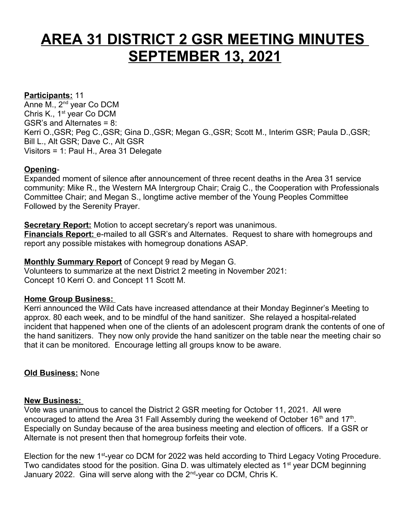# **AREA 31 DISTRICT 2 GSR MEETING MINUTES SEPTEMBER 13, 2021**

# **Participants:** 11

Anne M., 2<sup>nd</sup> year Co DCM Chris K., 1<sup>st</sup> year Co DCM GSR's and Alternates = 8: Kerri O.,GSR; Peg C.,GSR; Gina D.,GSR; Megan G.,GSR; Scott M., Interim GSR; Paula D.,GSR; Bill L., Alt GSR; Dave C., Alt GSR Visitors = 1: Paul H., Area 31 Delegate

# **Opening**-

Expanded moment of silence after announcement of three recent deaths in the Area 31 service community: Mike R., the Western MA Intergroup Chair; Craig C., the Cooperation with Professionals Committee Chair; and Megan S., longtime active member of the Young Peoples Committee Followed by the Serenity Prayer.

**Secretary Report:** Motion to accept secretary's report was unanimous. **Financials Report:** e-mailed to all GSR's and Alternates. Request to share with homegroups and report any possible mistakes with homegroup donations ASAP.

#### **Monthly Summary Report** of Concept 9 read by Megan G.

Volunteers to summarize at the next District 2 meeting in November 2021: Concept 10 Kerri O. and Concept 11 Scott M.

## **Home Group Business:**

Kerri announced the Wild Cats have increased attendance at their Monday Beginner's Meeting to approx. 80 each week, and to be mindful of the hand sanitizer. She relayed a hospital-related incident that happened when one of the clients of an adolescent program drank the contents of one of the hand sanitizers. They now only provide the hand sanitizer on the table near the meeting chair so that it can be monitored. Encourage letting all groups know to be aware.

## **Old Business:** None

#### **New Business:**

Vote was unanimous to cancel the District 2 GSR meeting for October 11, 2021. All were encouraged to attend the Area 31 Fall Assembly during the weekend of October 16<sup>th</sup> and 17<sup>th</sup>. Especially on Sunday because of the area business meeting and election of officers. If a GSR or Alternate is not present then that homegroup forfeits their vote.

Election for the new 1<sup>st-</sup>year co DCM for 2022 was held according to Third Legacy Voting Procedure. Two candidates stood for the position. Gina D. was ultimately elected as 1<sup>st</sup> year DCM beginning January 2022. Gina will serve along with the 2<sup>nd</sup>-year co DCM, Chris K.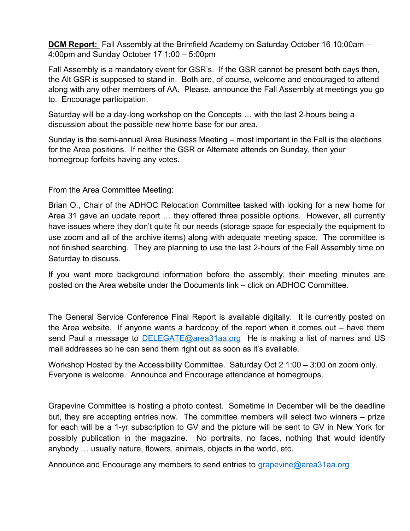**DCM Report:** Fall Assembly at the Brimfield Academy on Saturday October 16 10:00am – 4:00pm and Sunday October 17 1:00 – 5:00pm

Fall Assembly is a mandatory event for GSR's. If the GSR cannot be present both days then, the Alt GSR is supposed to stand in. Both are, of course, welcome and encouraged to attend along with any other members of AA. Please, announce the Fall Assembly at meetings you go to. Encourage participation.

Saturday will be a day-long workshop on the Concepts … with the last 2-hours being a discussion about the possible new home base for our area.

Sunday is the semi-annual Area Business Meeting – most important in the Fall is the elections for the Area positions. If neither the GSR or Alternate attends on Sunday, then your homegroup forfeits having any votes.

From the Area Committee Meeting:

Brian O., Chair of the ADHOC Relocation Committee tasked with looking for a new home for Area 31 gave an update report … they offered three possible options. However, all currently have issues where they don't quite fit our needs (storage space for especially the equipment to use zoom and all of the archive items) along with adequate meeting space. The committee is not finished searching. They are planning to use the last 2-hours of the Fall Assembly time on Saturday to discuss.

If you want more background information before the assembly, their meeting minutes are posted on the Area website under the Documents link – click on ADHOC Committee.

The General Service Conference Final Report is available digitally. It is currently posted on the Area website. If anyone wants a hardcopy of the report when it comes out – have them send Paul a message to **DELEGATE@area31aa.org** He is making a list of names and US mail addresses so he can send them right out as soon as it's available.

Workshop Hosted by the Accessibility Committee. Saturday Oct 2 1:00 – 3:00 on zoom only. Everyone is welcome. Announce and Encourage attendance at homegroups.

Grapevine Committee is hosting a photo contest. Sometime in December will be the deadline but, they are accepting entries now. The committee members will select two winners – prize for each will be a 1-yr subscription to GV and the picture will be sent to GV in New York for possibly publication in the magazine. No portraits, no faces, nothing that would identify anybody … usually nature, flowers, animals, objects in the world, etc.

Announce and Encourage any members to send entries to [grapevine@area31aa.org](mailto:grapevine@area31aa.org)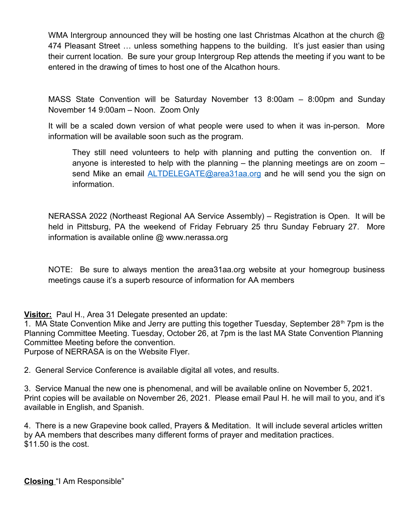WMA Intergroup announced they will be hosting one last Christmas Alcathon at the church @ 474 Pleasant Street … unless something happens to the building. It's just easier than using their current location. Be sure your group Intergroup Rep attends the meeting if you want to be entered in the drawing of times to host one of the Alcathon hours.

MASS State Convention will be Saturday November 13 8:00am – 8:00pm and Sunday November 14 9:00am – Noon. Zoom Only

It will be a scaled down version of what people were used to when it was in-person. More information will be available soon such as the program.

They still need volunteers to help with planning and putting the convention on. If anyone is interested to help with the planning – the planning meetings are on zoom – send Mike an email [ALTDELEGATE@area31aa.org](mailto:ALTDELEGATE@area31aa.org) and he will send you the sign on information.

NERASSA 2022 (Northeast Regional AA Service Assembly) – Registration is Open. It will be held in Pittsburg, PA the weekend of Friday February 25 thru Sunday February 27. More information is available online @ www.nerassa.org

NOTE: Be sure to always mention the area31aa.org website at your homegroup business meetings cause it's a superb resource of information for AA members

**Visitor:** Paul H., Area 31 Delegate presented an update:

1. MA State Convention Mike and Jerry are putting this together Tuesday, September 28<sup>th</sup> 7pm is the Planning Committee Meeting. Tuesday, October 26, at 7pm is the last MA State Convention Planning Committee Meeting before the convention.

Purpose of NERRASA is on the Website Flyer.

2. General Service Conference is available digital all votes, and results.

3. Service Manual the new one is phenomenal, and will be available online on November 5, 2021. Print copies will be available on November 26, 2021. Please email Paul H. he will mail to you, and it's available in English, and Spanish.

4. There is a new Grapevine book called, Prayers & Meditation. It will include several articles written by AA members that describes many different forms of prayer and meditation practices. \$11.50 is the cost.

**Closing** "I Am Responsible"